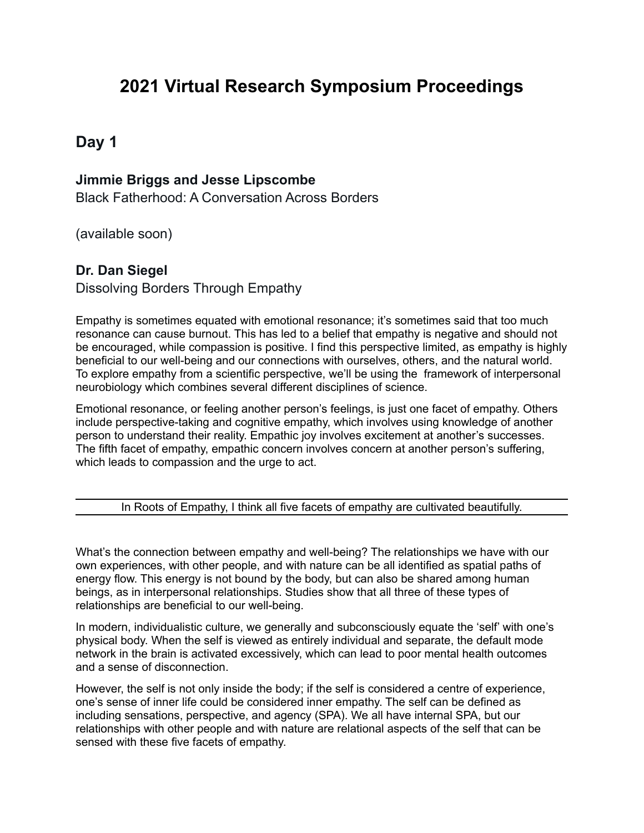# **2021 Virtual Research Symposium Proceedings**

# **Day 1**

### **Jimmie Briggs and Jesse Lipscombe**

Black Fatherhood: A Conversation Across Borders

(available soon)

### **Dr. Dan Siegel**

Dissolving Borders Through Empathy

Empathy is sometimes equated with emotional resonance; it's sometimes said that too much resonance can cause burnout. This has led to a belief that empathy is negative and should not be encouraged, while compassion is positive. I find this perspective limited, as empathy is highly beneficial to our well-being and our connections with ourselves, others, and the natural world. To explore empathy from a scientific perspective, we'll be using the framework of interpersonal neurobiology which combines several different disciplines of science.

Emotional resonance, or feeling another person's feelings, is just one facet of empathy. Others include perspective-taking and cognitive empathy, which involves using knowledge of another person to understand their reality. Empathic joy involves excitement at another's successes. The fifth facet of empathy, empathic concern involves concern at another person's suffering, which leads to compassion and the urge to act.

In Roots of Empathy, I think all five facets of empathy are cultivated beautifully.

What's the connection between empathy and well-being? The relationships we have with our own experiences, with other people, and with nature can be all identified as spatial paths of energy flow. This energy is not bound by the body, but can also be shared among human beings, as in interpersonal relationships. Studies show that all three of these types of relationships are beneficial to our well-being.

In modern, individualistic culture, we generally and subconsciously equate the 'self' with one's physical body. When the self is viewed as entirely individual and separate, the default mode network in the brain is activated excessively, which can lead to poor mental health outcomes and a sense of disconnection.

However, the self is not only inside the body; if the self is considered a centre of experience, one's sense of inner life could be considered inner empathy. The self can be defined as including sensations, perspective, and agency (SPA). We all have internal SPA, but our relationships with other people and with nature are relational aspects of the self that can be sensed with these five facets of empathy.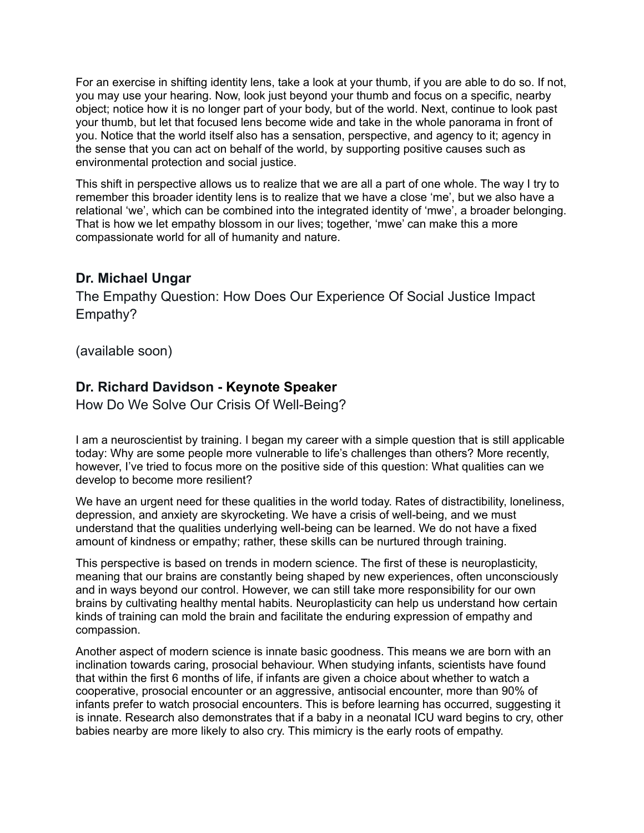For an exercise in shifting identity lens, take a look at your thumb, if you are able to do so. If not, you may use your hearing. Now, look just beyond your thumb and focus on a specific, nearby object; notice how it is no longer part of your body, but of the world. Next, continue to look past your thumb, but let that focused lens become wide and take in the whole panorama in front of you. Notice that the world itself also has a sensation, perspective, and agency to it; agency in the sense that you can act on behalf of the world, by supporting positive causes such as environmental protection and social justice.

This shift in perspective allows us to realize that we are all a part of one whole. The way I try to remember this broader identity lens is to realize that we have a close 'me', but we also have a relational 'we', which can be combined into the integrated identity of 'mwe', a broader belonging. That is how we let empathy blossom in our lives; together, 'mwe' can make this a more compassionate world for all of humanity and nature.

### **Dr. Michael Ungar**

The Empathy Question: How Does Our Experience Of Social Justice Impact Empathy?

(available soon)

### **Dr. Richard Davidson - Keynote Speaker**

How Do We Solve Our Crisis Of Well-Being?

I am a neuroscientist by training. I began my career with a simple question that is still applicable today: Why are some people more vulnerable to life's challenges than others? More recently, however, I've tried to focus more on the positive side of this question: What qualities can we develop to become more resilient?

We have an urgent need for these qualities in the world today. Rates of distractibility, loneliness, depression, and anxiety are skyrocketing. We have a crisis of well-being, and we must understand that the qualities underlying well-being can be learned. We do not have a fixed amount of kindness or empathy; rather, these skills can be nurtured through training.

This perspective is based on trends in modern science. The first of these is neuroplasticity, meaning that our brains are constantly being shaped by new experiences, often unconsciously and in ways beyond our control. However, we can still take more responsibility for our own brains by cultivating healthy mental habits. Neuroplasticity can help us understand how certain kinds of training can mold the brain and facilitate the enduring expression of empathy and compassion.

Another aspect of modern science is innate basic goodness. This means we are born with an inclination towards caring, prosocial behaviour. When studying infants, scientists have found that within the first 6 months of life, if infants are given a choice about whether to watch a cooperative, prosocial encounter or an aggressive, antisocial encounter, more than 90% of infants prefer to watch prosocial encounters. This is before learning has occurred, suggesting it is innate. Research also demonstrates that if a baby in a neonatal ICU ward begins to cry, other babies nearby are more likely to also cry. This mimicry is the early roots of empathy.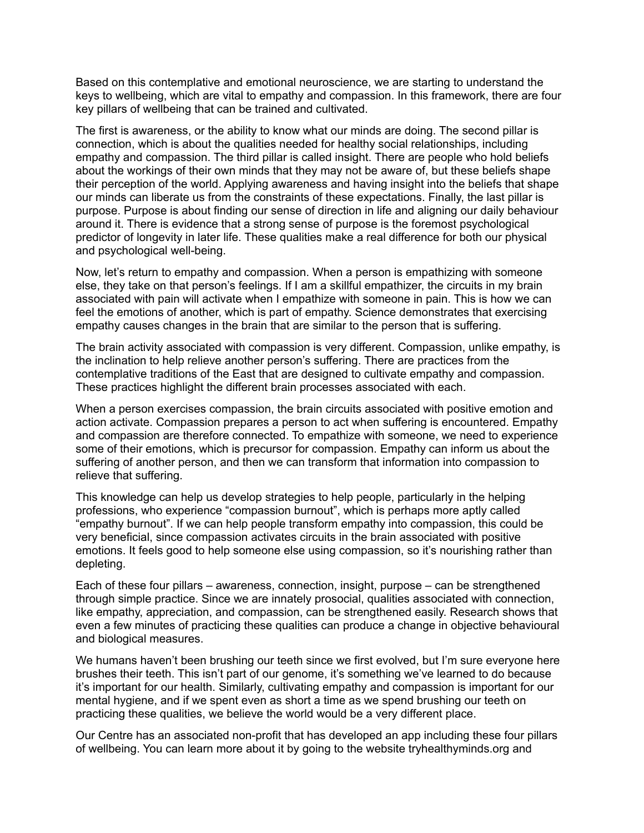Based on this contemplative and emotional neuroscience, we are starting to understand the keys to wellbeing, which are vital to empathy and compassion. In this framework, there are four key pillars of wellbeing that can be trained and cultivated.

The first is awareness, or the ability to know what our minds are doing. The second pillar is connection, which is about the qualities needed for healthy social relationships, including empathy and compassion. The third pillar is called insight. There are people who hold beliefs about the workings of their own minds that they may not be aware of, but these beliefs shape their perception of the world. Applying awareness and having insight into the beliefs that shape our minds can liberate us from the constraints of these expectations. Finally, the last pillar is purpose. Purpose is about finding our sense of direction in life and aligning our daily behaviour around it. There is evidence that a strong sense of purpose is the foremost psychological predictor of longevity in later life. These qualities make a real difference for both our physical and psychological well-being.

Now, let's return to empathy and compassion. When a person is empathizing with someone else, they take on that person's feelings. If I am a skillful empathizer, the circuits in my brain associated with pain will activate when I empathize with someone in pain. This is how we can feel the emotions of another, which is part of empathy. Science demonstrates that exercising empathy causes changes in the brain that are similar to the person that is suffering.

The brain activity associated with compassion is very different. Compassion, unlike empathy, is the inclination to help relieve another person's suffering. There are practices from the contemplative traditions of the East that are designed to cultivate empathy and compassion. These practices highlight the different brain processes associated with each.

When a person exercises compassion, the brain circuits associated with positive emotion and action activate. Compassion prepares a person to act when suffering is encountered. Empathy and compassion are therefore connected. To empathize with someone, we need to experience some of their emotions, which is precursor for compassion. Empathy can inform us about the suffering of another person, and then we can transform that information into compassion to relieve that suffering.

This knowledge can help us develop strategies to help people, particularly in the helping professions, who experience "compassion burnout", which is perhaps more aptly called "empathy burnout". If we can help people transform empathy into compassion, this could be very beneficial, since compassion activates circuits in the brain associated with positive emotions. It feels good to help someone else using compassion, so it's nourishing rather than depleting.

Each of these four pillars – awareness, connection, insight, purpose – can be strengthened through simple practice. Since we are innately prosocial, qualities associated with connection, like empathy, appreciation, and compassion, can be strengthened easily. Research shows that even a few minutes of practicing these qualities can produce a change in objective behavioural and biological measures.

We humans haven't been brushing our teeth since we first evolved, but I'm sure everyone here brushes their teeth. This isn't part of our genome, it's something we've learned to do because it's important for our health. Similarly, cultivating empathy and compassion is important for our mental hygiene, and if we spent even as short a time as we spend brushing our teeth on practicing these qualities, we believe the world would be a very different place.

Our Centre has an associated non-profit that has developed an app including these four pillars of wellbeing. You can learn more about it by going to the website tryhealthyminds.org and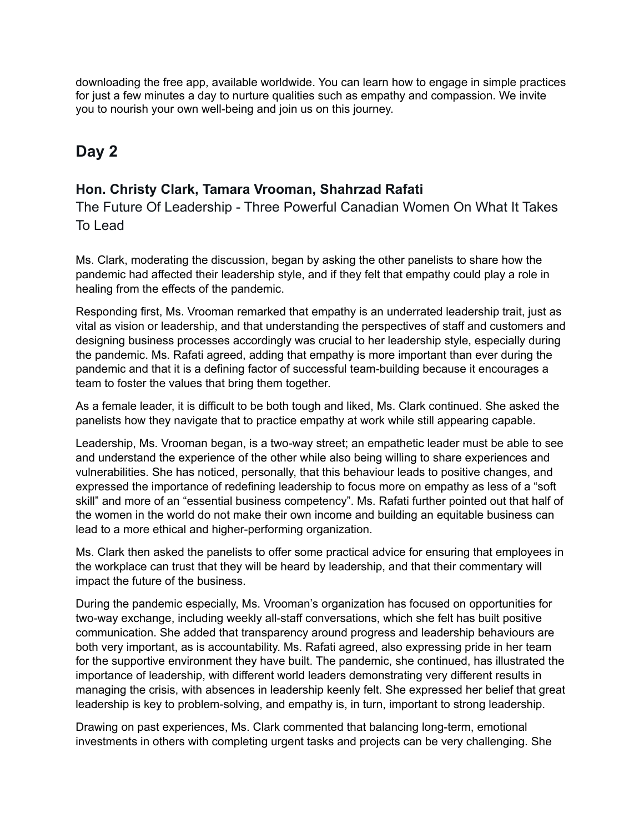downloading the free app, available worldwide. You can learn how to engage in simple practices for just a few minutes a day to nurture qualities such as empathy and compassion. We invite you to nourish your own well-being and join us on this journey.

# **Day 2**

### **Hon. Christy Clark, Tamara Vrooman, Shahrzad Rafati**

The Future Of Leadership - Three Powerful Canadian Women On What It Takes To Lead

Ms. Clark, moderating the discussion, began by asking the other panelists to share how the pandemic had affected their leadership style, and if they felt that empathy could play a role in healing from the effects of the pandemic.

Responding first, Ms. Vrooman remarked that empathy is an underrated leadership trait, just as vital as vision or leadership, and that understanding the perspectives of staff and customers and designing business processes accordingly was crucial to her leadership style, especially during the pandemic. Ms. Rafati agreed, adding that empathy is more important than ever during the pandemic and that it is a defining factor of successful team-building because it encourages a team to foster the values that bring them together.

As a female leader, it is difficult to be both tough and liked, Ms. Clark continued. She asked the panelists how they navigate that to practice empathy at work while still appearing capable.

Leadership, Ms. Vrooman began, is a two-way street; an empathetic leader must be able to see and understand the experience of the other while also being willing to share experiences and vulnerabilities. She has noticed, personally, that this behaviour leads to positive changes, and expressed the importance of redefining leadership to focus more on empathy as less of a "soft skill" and more of an "essential business competency". Ms. Rafati further pointed out that half of the women in the world do not make their own income and building an equitable business can lead to a more ethical and higher-performing organization.

Ms. Clark then asked the panelists to offer some practical advice for ensuring that employees in the workplace can trust that they will be heard by leadership, and that their commentary will impact the future of the business.

During the pandemic especially, Ms. Vrooman's organization has focused on opportunities for two-way exchange, including weekly all-staff conversations, which she felt has built positive communication. She added that transparency around progress and leadership behaviours are both very important, as is accountability. Ms. Rafati agreed, also expressing pride in her team for the supportive environment they have built. The pandemic, she continued, has illustrated the importance of leadership, with different world leaders demonstrating very different results in managing the crisis, with absences in leadership keenly felt. She expressed her belief that great leadership is key to problem-solving, and empathy is, in turn, important to strong leadership.

Drawing on past experiences, Ms. Clark commented that balancing long-term, emotional investments in others with completing urgent tasks and projects can be very challenging. She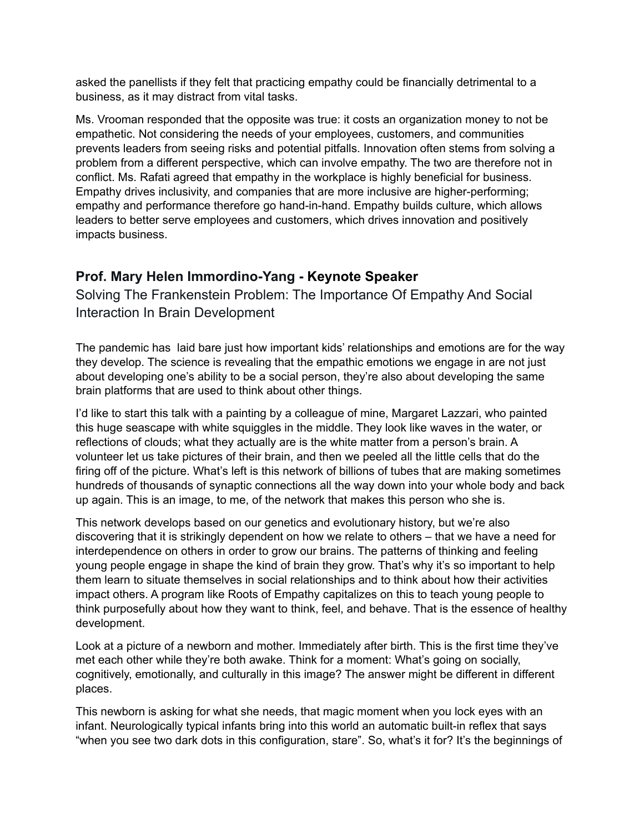asked the panellists if they felt that practicing empathy could be financially detrimental to a business, as it may distract from vital tasks.

Ms. Vrooman responded that the opposite was true: it costs an organization money to not be empathetic. Not considering the needs of your employees, customers, and communities prevents leaders from seeing risks and potential pitfalls. Innovation often stems from solving a problem from a different perspective, which can involve empathy. The two are therefore not in conflict. Ms. Rafati agreed that empathy in the workplace is highly beneficial for business. Empathy drives inclusivity, and companies that are more inclusive are higher-performing; empathy and performance therefore go hand-in-hand. Empathy builds culture, which allows leaders to better serve employees and customers, which drives innovation and positively impacts business.

### **Prof. Mary Helen Immordino-Yang - Keynote Speaker**

Solving The Frankenstein Problem: The Importance Of Empathy And Social Interaction In Brain Development

The pandemic has laid bare just how important kids' relationships and emotions are for the way they develop. The science is revealing that the empathic emotions we engage in are not just about developing one's ability to be a social person, they're also about developing the same brain platforms that are used to think about other things.

I'd like to start this talk with a painting by a colleague of mine, Margaret Lazzari, who painted this huge seascape with white squiggles in the middle. They look like waves in the water, or reflections of clouds; what they actually are is the white matter from a person's brain. A volunteer let us take pictures of their brain, and then we peeled all the little cells that do the firing off of the picture. What's left is this network of billions of tubes that are making sometimes hundreds of thousands of synaptic connections all the way down into your whole body and back up again. This is an image, to me, of the network that makes this person who she is.

This network develops based on our genetics and evolutionary history, but we're also discovering that it is strikingly dependent on how we relate to others – that we have a need for interdependence on others in order to grow our brains. The patterns of thinking and feeling young people engage in shape the kind of brain they grow. That's why it's so important to help them learn to situate themselves in social relationships and to think about how their activities impact others. A program like Roots of Empathy capitalizes on this to teach young people to think purposefully about how they want to think, feel, and behave. That is the essence of healthy development.

Look at a picture of a newborn and mother. Immediately after birth. This is the first time they've met each other while they're both awake. Think for a moment: What's going on socially, cognitively, emotionally, and culturally in this image? The answer might be different in different places.

This newborn is asking for what she needs, that magic moment when you lock eyes with an infant. Neurologically typical infants bring into this world an automatic built-in reflex that says "when you see two dark dots in this configuration, stare". So, what's it for? It's the beginnings of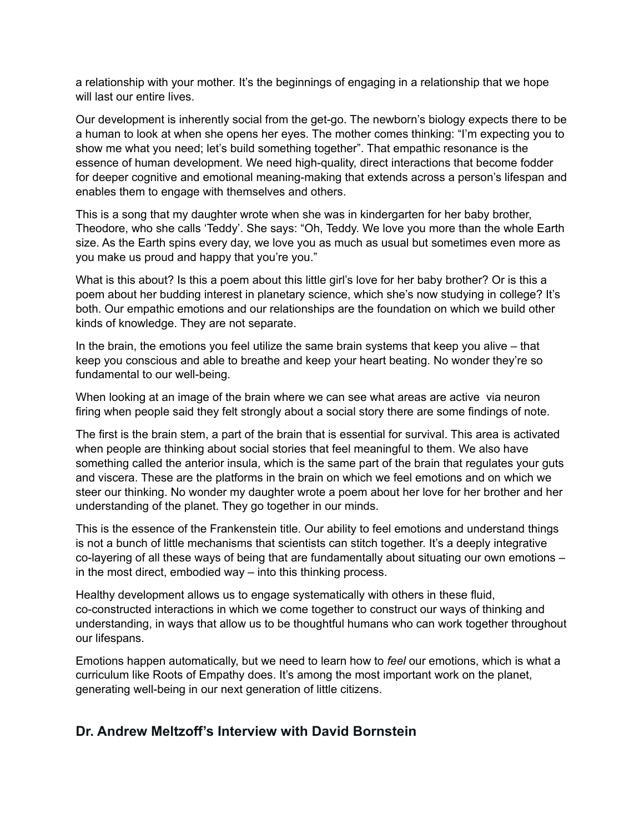a relationship with your mother. It's the beginnings of engaging in a relationship that we hope will last our entire lives.

Our development is inherently social from the get-go. The newborn's biology expects there to be a human to look at when she opens her eyes. The mother comes thinking: "I'm expecting you to show me what you need; let's build something together". That empathic resonance is the essence of human development. We need high-quality, direct interactions that become fodder for deeper cognitive and emotional meaning-making that extends across a person's lifespan and enables them to engage with themselves and others.

This is a song that my daughter wrote when she was in kindergarten for her baby brother, Theodore, who she calls 'Teddy'. She says: "Oh, Teddy. We love you more than the whole Earth size. As the Earth spins every day, we love you as much as usual but sometimes even more as you make us proud and happy that you're you."

What is this about? Is this a poem about this little girl's love for her baby brother? Or is this a poem about her budding interest in planetary science, which she's now studying in college? It's both. Our empathic emotions and our relationships are the foundation on which we build other kinds of knowledge. They are not separate.

In the brain, the emotions you feel utilize the same brain systems that keep you alive – that keep you conscious and able to breathe and keep your heart beating. No wonder they're so fundamental to our well-being.

When looking at an image of the brain where we can see what areas are active via neuron firing when people said they felt strongly about a social story there are some findings of note.

The first is the brain stem, a part of the brain that is essential for survival. This area is activated when people are thinking about social stories that feel meaningful to them. We also have something called the anterior insula, which is the same part of the brain that regulates your guts and viscera. These are the platforms in the brain on which we feel emotions and on which we steer our thinking. No wonder my daughter wrote a poem about her love for her brother and her understanding of the planet. They go together in our minds.

This is the essence of the Frankenstein title. Our ability to feel emotions and understand things is not a bunch of little mechanisms that scientists can stitch together. It's a deeply integrative co-layering of all these ways of being that are fundamentally about situating our own emotions – in the most direct, embodied way – into this thinking process.

Healthy development allows us to engage systematically with others in these fluid, co-constructed interactions in which we come together to construct our ways of thinking and understanding, in ways that allow us to be thoughtful humans who can work together throughout our lifespans.

Emotions happen automatically, but we need to learn how to *feel* our emotions, which is what a curriculum like Roots of Empathy does. It's among the most important work on the planet, generating well-being in our next generation of little citizens.

### **Dr. Andrew Meltzoff's Interview with David Bornstein**